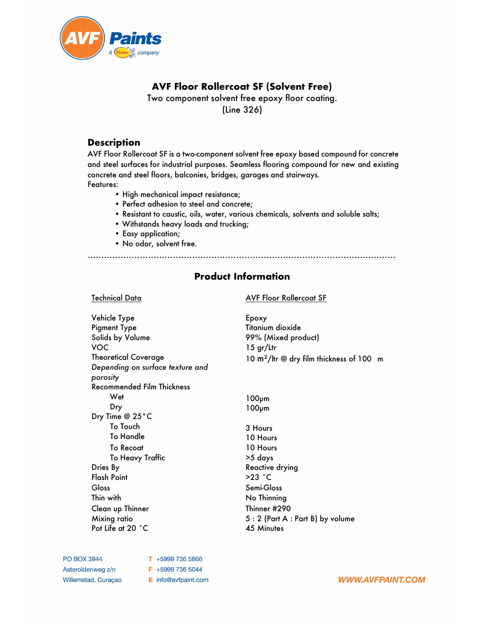

# **AVF Floor Rollercoat SF (Solvent Free)**

Two component solvent free epoxy floor coating. (Line 326)

### **Description**

AVF Floor Rollercoat SF is a two-component solvent free epoxy based compound for concrete and steel surfaces for industrial purposes. Seamless flooring compound for new and existing concrete and steel floors, balconies, bridges, garages and stairways. Features:

- High mechanical impact resistance;
- Perfect adhesion to steel and concrete;
- Resistant to caustic, oils, water, various chemicals, solvents and soluble salts;
- Withstands heavy loads and trucking;
- Easy application;
- No odor, solvent free.

................................................................................................................

## **Product Information**

#### Technical Data AVF Floor Rollercoat SF

Vehicle Type Pigment Type Solids by Volume VOC Theoretical Coverage *Depending on surface texture and porosity*  Recommended Film Thickness Wet Dry Dry Time @ 25°C To Touch To Handle To Recoat To Heavy Traffic Dries By Flash Point Gloss Thin with Clean up Thinner Mixing ratio Pot Life at 20 ˚C

Epoxy Titanium dioxide 99% (Mixed product) 15 gr/Ltr 10 m²/ltr @ dry film thickness of 100 m

100µm 100µm

3 Hours 10 Hours 10 Hours >5 days Reactive drying >23 ˚C Semi-Gloss No Thinning Thinner #290 5 : 2 (Part A : Part B) by volume 45 Minutes

**PO BOX 3944** Asteroïdenweg z/n Willemstad, Curaçao  $T + 59997365866$ F +5999 736 5044 E info@avfpaint.com

**WWW.AVFPAINT.COM**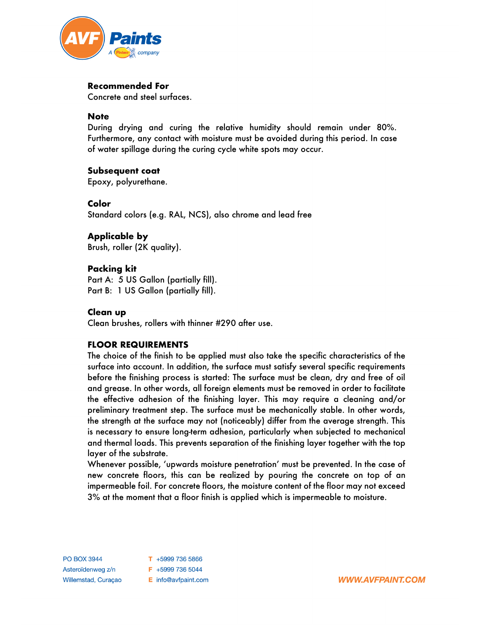

#### **Recommended For**

Concrete and steel surfaces.

#### **Note**

During drying and curing the relative humidity should remain under 80%. Furthermore, any contact with moisture must be avoided during this period. In case of water spillage during the curing cycle white spots may occur.

#### **Subsequent coat**

Epoxy, polyurethane.

#### **Color**

Standard colors (e.g. RAL, NCS), also chrome and lead free

**Applicable by** Brush, roller (2K quality).

#### **Packing kit**

Part A: 5 US Gallon (partially fill). Part B: 1 US Gallon (partially fill).

#### **Clean up**

Clean brushes, rollers with thinner #290 after use.

#### **FLOOR REQUIREMENTS**

The choice of the finish to be applied must also take the specific characteristics of the surface into account. In addition, the surface must satisfy several specific requirements before the finishing process is started: The surface must be clean, dry and free of oil and grease. In other words, all foreign elements must be removed in order to facilitate the effective adhesion of the finishing layer. This may require a cleaning and/or preliminary treatment step. The surface must be mechanically stable. In other words, the strength at the surface may not (noticeably) differ from the average strength. This is necessary to ensure long-term adhesion, particularly when subjected to mechanical and thermal loads. This prevents separation of the finishing layer together with the top layer of the substrate.

Whenever possible, 'upwards moisture penetration' must be prevented. In the case of new concrete floors, this can be realized by pouring the concrete on top of an impermeable foil. For concrete floors, the moisture content of the floor may not exceed 3% at the moment that a floor finish is applied which is impermeable to moisture.

**PO BOX 3944**  $T + 59997365866$ Asteroïdenweg z/n F +5999 736 5044 Willemstad, Curaçao E info@avfpaint.com

**WWW.AVFPAINT.COM**